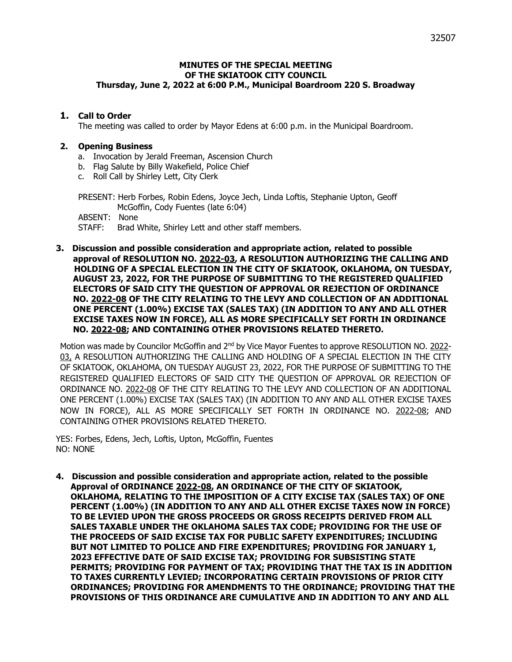### **MINUTES OF THE SPECIAL MEETING OF THE SKIATOOK CITY COUNCIL Thursday, June 2, 2022 at 6:00 P.M., Municipal Boardroom 220 S. Broadway**

### **1. Call to Order**

The meeting was called to order by Mayor Edens at 6:00 p.m. in the Municipal Boardroom.

### **2. Opening Business**

- a. Invocation by Jerald Freeman, Ascension Church
- b. Flag Salute by Billy Wakefield, Police Chief
- c. Roll Call by Shirley Lett, City Clerk

PRESENT: Herb Forbes, Robin Edens, Joyce Jech, Linda Loftis, Stephanie Upton, Geoff McGoffin, Cody Fuentes (late 6:04)

ABSENT: None

STAFF: Brad White, Shirley Lett and other staff members.

**3. Discussion and possible consideration and appropriate action, related to possible approval of RESOLUTION NO. 2022-03, A RESOLUTION AUTHORIZING THE CALLING AND HOLDING OF A SPECIAL ELECTION IN THE CITY OF SKIATOOK, OKLAHOMA, ON TUESDAY, AUGUST 23, 2022, FOR THE PURPOSE OF SUBMITTING TO THE REGISTERED QUALIFIED ELECTORS OF SAID CITY THE QUESTION OF APPROVAL OR REJECTION OF ORDINANCE NO. 2022-08 OF THE CITY RELATING TO THE LEVY AND COLLECTION OF AN ADDITIONAL ONE PERCENT (1.00%) EXCISE TAX (SALES TAX) (IN ADDITION TO ANY AND ALL OTHER EXCISE TAXES NOW IN FORCE), ALL AS MORE SPECIFICALLY SET FORTH IN ORDINANCE NO. 2022-08; AND CONTAINING OTHER PROVISIONS RELATED THERETO.**

Motion was made by Councilor McGoffin and 2<sup>nd</sup> by Vice Mayor Fuentes to approve RESOLUTION NO. 2022-03, A RESOLUTION AUTHORIZING THE CALLING AND HOLDING OF A SPECIAL ELECTION IN THE CITY OF SKIATOOK, OKLAHOMA, ON TUESDAY AUGUST 23, 2022, FOR THE PURPOSE OF SUBMITTING TO THE REGISTERED QUALIFIED ELECTORS OF SAID CITY THE QUESTION OF APPROVAL OR REJECTION OF ORDINANCE NO. 2022-08 OF THE CITY RELATING TO THE LEVY AND COLLECTION OF AN ADDITIONAL ONE PERCENT (1.00%) EXCISE TAX (SALES TAX) (IN ADDITION TO ANY AND ALL OTHER EXCISE TAXES NOW IN FORCE), ALL AS MORE SPECIFICALLY SET FORTH IN ORDINANCE NO. 2022-08; AND CONTAINING OTHER PROVISIONS RELATED THERETO.

YES: Forbes, Edens, Jech, Loftis, Upton, McGoffin, Fuentes NO: NONE

**4. Discussion and possible consideration and appropriate action, related to the possible Approval of ORDINANCE 2022-08, AN ORDINANCE OF THE CITY OF SKIATOOK, OKLAHOMA, RELATING TO THE IMPOSITION OF A CITY EXCISE TAX (SALES TAX) OF ONE PERCENT (1.00%) (IN ADDITION TO ANY AND ALL OTHER EXCISE TAXES NOW IN FORCE) TO BE LEVIED UPON THE GROSS PROCEEDS OR GROSS RECEIPTS DERIVED FROM ALL SALES TAXABLE UNDER THE OKLAHOMA SALES TAX CODE; PROVIDING FOR THE USE OF THE PROCEEDS OF SAID EXCISE TAX FOR PUBLIC SAFETY EXPENDITURES; INCLUDING BUT NOT LIMITED TO POLICE AND FIRE EXPENDITURES; PROVIDING FOR JANUARY 1, 2023 EFFECTIVE DATE OF SAID EXCISE TAX; PROVIDING FOR SUBSISTING STATE PERMITS; PROVIDING FOR PAYMENT OF TAX; PROVIDING THAT THE TAX IS IN ADDITION TO TAXES CURRENTLY LEVIED; INCORPORATING CERTAIN PROVISIONS OF PRIOR CITY ORDINANCES; PROVIDING FOR AMENDMENTS TO THE ORDINANCE; PROVIDING THAT THE PROVISIONS OF THIS ORDINANCE ARE CUMULATIVE AND IN ADDITION TO ANY AND ALL**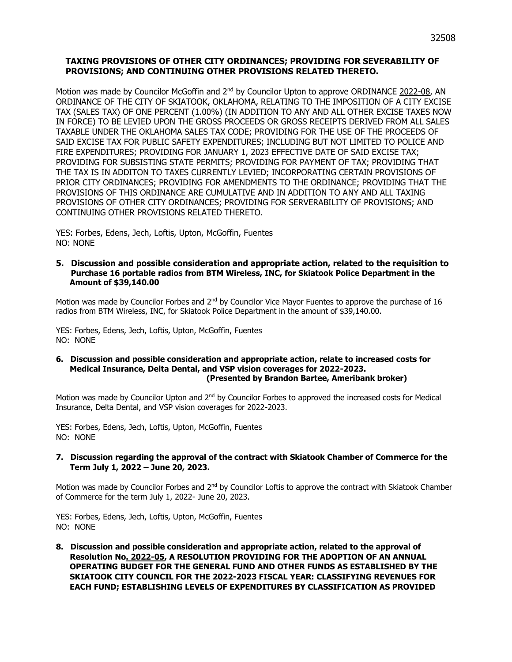### **TAXING PROVISIONS OF OTHER CITY ORDINANCES; PROVIDING FOR SEVERABILITY OF PROVISIONS; AND CONTINUING OTHER PROVISIONS RELATED THERETO.**

Motion was made by Councilor McGoffin and  $2<sup>nd</sup>$  by Councilor Upton to approve ORDINANCE 2022-08, AN ORDINANCE OF THE CITY OF SKIATOOK, OKLAHOMA, RELATING TO THE IMPOSITION OF A CITY EXCISE TAX (SALES TAX) OF ONE PERCENT (1.00%) (IN ADDITION TO ANY AND ALL OTHER EXCISE TAXES NOW IN FORCE) TO BE LEVIED UPON THE GROSS PROCEEDS OR GROSS RECEIPTS DERIVED FROM ALL SALES TAXABLE UNDER THE OKLAHOMA SALES TAX CODE; PROVIDING FOR THE USE OF THE PROCEEDS OF SAID EXCISE TAX FOR PUBLIC SAFETY EXPENDITURES; INCLUDING BUT NOT LIMITED TO POLICE AND FIRE EXPENDITURES; PROVIDING FOR JANUARY 1, 2023 EFFECTIVE DATE OF SAID EXCISE TAX; PROVIDING FOR SUBSISTING STATE PERMITS; PROVIDING FOR PAYMENT OF TAX; PROVIDING THAT THE TAX IS IN ADDITON TO TAXES CURRENTLY LEVIED; INCORPORATING CERTAIN PROVISIONS OF PRIOR CITY ORDINANCES; PROVIDING FOR AMENDMENTS TO THE ORDINANCE; PROVIDING THAT THE PROVISIONS OF THIS ORDINANCE ARE CUMULATIVE AND IN ADDITION TO ANY AND ALL TAXING PROVISIONS OF OTHER CITY ORDINANCES; PROVIDING FOR SERVERABILITY OF PROVISIONS; AND CONTINUING OTHER PROVISIONS RELATED THERETO.

YES: Forbes, Edens, Jech, Loftis, Upton, McGoffin, Fuentes NO: NONE

#### **5. Discussion and possible consideration and appropriate action, related to the requisition to Purchase 16 portable radios from BTM Wireless, INC, for Skiatook Police Department in the Amount of \$39,140.00**

Motion was made by Councilor Forbes and 2<sup>nd</sup> by Councilor Vice Mayor Fuentes to approve the purchase of 16 radios from BTM Wireless, INC, for Skiatook Police Department in the amount of \$39,140.00.

YES: Forbes, Edens, Jech, Loftis, Upton, McGoffin, Fuentes NO: NONE

#### **6. Discussion and possible consideration and appropriate action, relate to increased costs for Medical Insurance, Delta Dental, and VSP vision coverages for 2022-2023. (Presented by Brandon Bartee, Ameribank broker)**

Motion was made by Councilor Upton and 2<sup>nd</sup> by Councilor Forbes to approved the increased costs for Medical Insurance, Delta Dental, and VSP vision coverages for 2022-2023.

YES: Forbes, Edens, Jech, Loftis, Upton, McGoffin, Fuentes NO: NONE

#### **7. Discussion regarding the approval of the contract with Skiatook Chamber of Commerce for the Term July 1, 2022 – June 20, 2023.**

Motion was made by Councilor Forbes and 2<sup>nd</sup> by Councilor Loftis to approve the contract with Skiatook Chamber of Commerce for the term July 1, 2022- June 20, 2023.

YES: Forbes, Edens, Jech, Loftis, Upton, McGoffin, Fuentes NO: NONE

**8. Discussion and possible consideration and appropriate action, related to the approval of Resolution No. 2022-05, A RESOLUTION PROVIDING FOR THE ADOPTION OF AN ANNUAL OPERATING BUDGET FOR THE GENERAL FUND AND OTHER FUNDS AS ESTABLISHED BY THE SKIATOOK CITY COUNCIL FOR THE 2022-2023 FISCAL YEAR: CLASSIFYING REVENUES FOR EACH FUND; ESTABLISHING LEVELS OF EXPENDITURES BY CLASSIFICATION AS PROVIDED**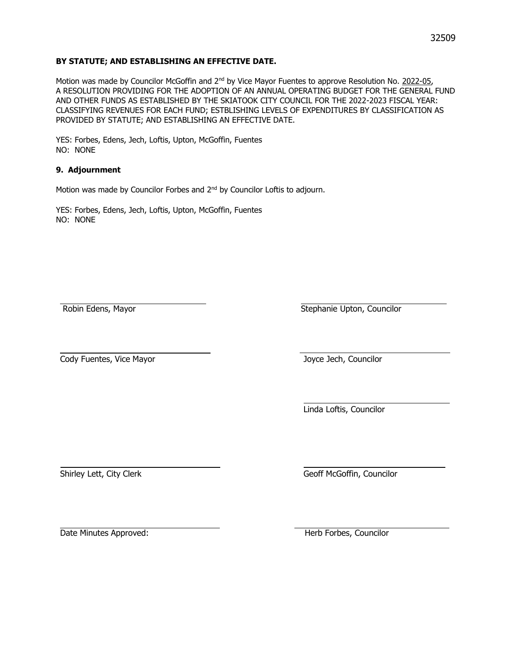### **BY STATUTE; AND ESTABLISHING AN EFFECTIVE DATE.**

Motion was made by Councilor McGoffin and 2<sup>nd</sup> by Vice Mayor Fuentes to approve Resolution No. 2022-05, A RESOLUTION PROVIDING FOR THE ADOPTION OF AN ANNUAL OPERATING BUDGET FOR THE GENERAL FUND AND OTHER FUNDS AS ESTABLISHED BY THE SKIATOOK CITY COUNCIL FOR THE 2022-2023 FISCAL YEAR: CLASSIFYING REVENUES FOR EACH FUND; ESTBLISHING LEVELS OF EXPENDITURES BY CLASSIFICATION AS PROVIDED BY STATUTE; AND ESTABLISHING AN EFFECTIVE DATE.

YES: Forbes, Edens, Jech, Loftis, Upton, McGoffin, Fuentes NO: NONE

### **9. Adjournment**

Motion was made by Councilor Forbes and 2<sup>nd</sup> by Councilor Loftis to adjourn.

YES: Forbes, Edens, Jech, Loftis, Upton, McGoffin, Fuentes NO: NONE

Robin Edens, Mayor Stephanie Upton, Councilor

**Cody Fuentes, Vice Mayor Cody Fuentes, Vice Mayor** Joyce Jech, Councilor

Linda Loftis, Councilor

Shirley Lett, City Clerk Geoff McGoffin, Councilor

Date Minutes Approved: The Minutes Approved: The Minutes Approved: The Minutes Approved: The Minutes of Minutes Approved: The Minutes of Minutes Approved: The Minutes of Minutes Approved: The Minutes of Minutes Approved: T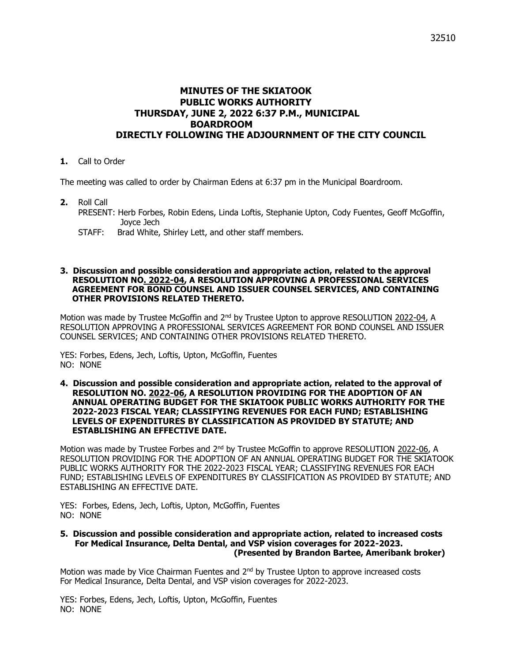# **MINUTES OF THE SKIATOOK PUBLIC WORKS AUTHORITY THURSDAY, JUNE 2, 2022 6:37 P.M., MUNICIPAL BOARDROOM DIRECTLY FOLLOWING THE ADJOURNMENT OF THE CITY COUNCIL**

**1.** Call to Order

The meeting was called to order by Chairman Edens at 6:37 pm in the Municipal Boardroom.

- **2.** Roll Call PRESENT: Herb Forbes, Robin Edens, Linda Loftis, Stephanie Upton, Cody Fuentes, Geoff McGoffin, Joyce Jech
	- STAFF: Brad White, Shirley Lett, and other staff members.

#### **3. Discussion and possible consideration and appropriate action, related to the approval RESOLUTION NO. 2022-04, A RESOLUTION APPROVING A PROFESSIONAL SERVICES AGREEMENT FOR BOND COUNSEL AND ISSUER COUNSEL SERVICES, AND CONTAINING OTHER PROVISIONS RELATED THERETO.**

Motion was made by Trustee McGoffin and 2<sup>nd</sup> by Trustee Upton to approve RESOLUTION 2022-04, A RESOLUTION APPROVING A PROFESSIONAL SERVICES AGREEMENT FOR BOND COUNSEL AND ISSUER COUNSEL SERVICES; AND CONTAINING OTHER PROVISIONS RELATED THERETO.

YES: Forbes, Edens, Jech, Loftis, Upton, McGoffin, Fuentes NO: NONE

**4. Discussion and possible consideration and appropriate action, related to the approval of RESOLUTION NO. 2022-06, A RESOLUTION PROVIDING FOR THE ADOPTION OF AN ANNUAL OPERATING BUDGET FOR THE SKIATOOK PUBLIC WORKS AUTHORITY FOR THE 2022-2023 FISCAL YEAR; CLASSIFYING REVENUES FOR EACH FUND; ESTABLISHING LEVELS OF EXPENDITURES BY CLASSIFICATION AS PROVIDED BY STATUTE; AND ESTABLISHING AN EFFECTIVE DATE.**

Motion was made by Trustee Forbes and 2<sup>nd</sup> by Trustee McGoffin to approve RESOLUTION 2022-06, A RESOLUTION PROVIDING FOR THE ADOPTION OF AN ANNUAL OPERATING BUDGET FOR THE SKIATOOK PUBLIC WORKS AUTHORITY FOR THE 2022-2023 FISCAL YEAR; CLASSIFYING REVENUES FOR EACH FUND; ESTABLISHING LEVELS OF EXPENDITURES BY CLASSIFICATION AS PROVIDED BY STATUTE; AND ESTABLISHING AN EFFECTIVE DATE.

YES: Forbes, Edens, Jech, Loftis, Upton, McGoffin, Fuentes NO: NONE

#### **5. Discussion and possible consideration and appropriate action, related to increased costs For Medical Insurance, Delta Dental, and VSP vision coverages for 2022-2023. (Presented by Brandon Bartee, Ameribank broker)**

Motion was made by Vice Chairman Fuentes and  $2<sup>nd</sup>$  by Trustee Upton to approve increased costs For Medical Insurance, Delta Dental, and VSP vision coverages for 2022-2023.

YES: Forbes, Edens, Jech, Loftis, Upton, McGoffin, Fuentes NO: NONE